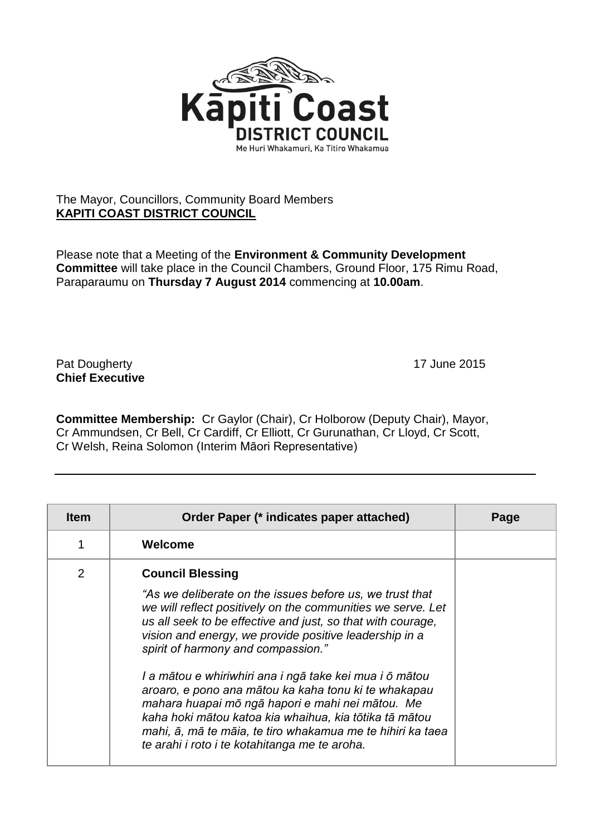

## The Mayor, Councillors, Community Board Members **KAPITI COAST DISTRICT COUNCIL**

Please note that a Meeting of the **Environment & Community Development Committee** will take place in the Council Chambers, Ground Floor, 175 Rimu Road, Paraparaumu on **Thursday 7 August 2014** commencing at **10.00am**.

Pat Dougherty **17** June 2015 **Chief Executive**

**Committee Membership:** Cr Gaylor (Chair), Cr Holborow (Deputy Chair), Mayor, Cr Ammundsen, Cr Bell, Cr Cardiff, Cr Elliott, Cr Gurunathan, Cr Lloyd, Cr Scott, Cr Welsh, Reina Solomon (Interim Māori Representative)

| <b>Item</b>    | Order Paper (* indicates paper attached)                                                                                                                                                                                                                                                                                                                                                                                                                                                                                                                                                                                                                          | Page |
|----------------|-------------------------------------------------------------------------------------------------------------------------------------------------------------------------------------------------------------------------------------------------------------------------------------------------------------------------------------------------------------------------------------------------------------------------------------------------------------------------------------------------------------------------------------------------------------------------------------------------------------------------------------------------------------------|------|
|                | Welcome                                                                                                                                                                                                                                                                                                                                                                                                                                                                                                                                                                                                                                                           |      |
| $\overline{2}$ | <b>Council Blessing</b><br>"As we deliberate on the issues before us, we trust that<br>we will reflect positively on the communities we serve. Let<br>us all seek to be effective and just, so that with courage,<br>vision and energy, we provide positive leadership in a<br>spirit of harmony and compassion."<br>I a mātou e whiriwhiri ana i ngā take kei mua i ō mātou<br>aroaro, e pono ana mātou ka kaha tonu ki te whakapau<br>mahara huapai mō ngā hapori e mahi nei mātou. Me<br>kaha hoki mātou katoa kia whaihua, kia tōtika tā mātou<br>mahi, ā, mā te māia, te tiro whakamua me te hihiri ka taea<br>te arahi i roto i te kotahitanga me te aroha. |      |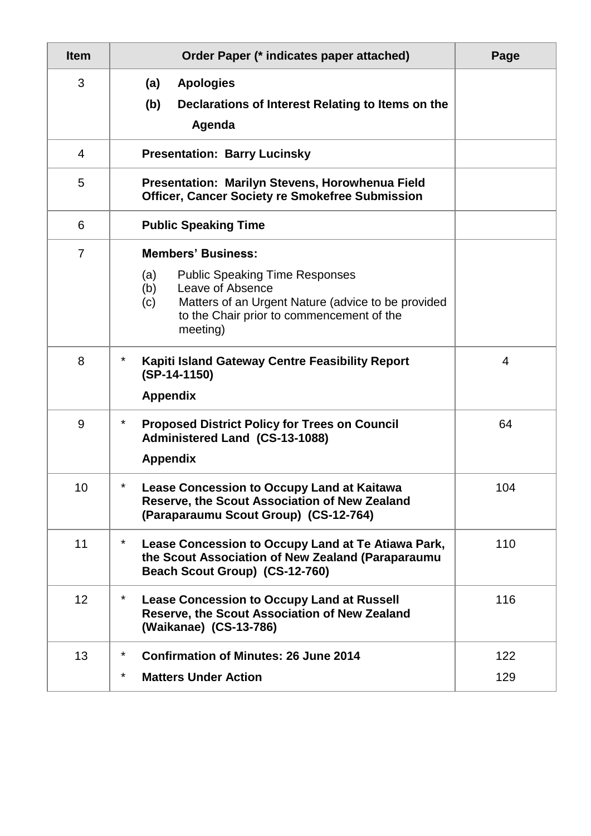| <b>Item</b>     | Order Paper (* indicates paper attached)                                                                                                                                                                                   | Page           |
|-----------------|----------------------------------------------------------------------------------------------------------------------------------------------------------------------------------------------------------------------------|----------------|
| 3               | <b>Apologies</b><br>(a)<br>(b)<br>Declarations of Interest Relating to Items on the<br>Agenda                                                                                                                              |                |
| $\overline{4}$  | <b>Presentation: Barry Lucinsky</b>                                                                                                                                                                                        |                |
| 5               | Presentation: Marilyn Stevens, Horowhenua Field<br><b>Officer, Cancer Society re Smokefree Submission</b>                                                                                                                  |                |
| 6               | <b>Public Speaking Time</b>                                                                                                                                                                                                |                |
| $\overline{7}$  | <b>Members' Business:</b><br>(a)<br><b>Public Speaking Time Responses</b><br>Leave of Absence<br>(b)<br>(c)<br>Matters of an Urgent Nature (advice to be provided<br>to the Chair prior to commencement of the<br>meeting) |                |
| 8               | *<br><b>Kapiti Island Gateway Centre Feasibility Report</b><br>(SP-14-1150)<br><b>Appendix</b>                                                                                                                             | $\overline{4}$ |
| 9               | $\ast$<br><b>Proposed District Policy for Trees on Council</b><br>Administered Land (CS-13-1088)<br><b>Appendix</b>                                                                                                        | 64             |
| 10              | <b>Lease Concession to Occupy Land at Kaitawa</b><br><b>Reserve, the Scout Association of New Zealand</b><br>(Paraparaumu Scout Group) (CS-12-764)                                                                         | 104            |
| 11              | $^\star$<br>Lease Concession to Occupy Land at Te Atiawa Park,<br>the Scout Association of New Zealand (Paraparaumu<br>Beach Scout Group) (CS-12-760)                                                                      | 110            |
| 12 <sub>2</sub> | $^\star$<br><b>Lease Concession to Occupy Land at Russell</b><br>Reserve, the Scout Association of New Zealand<br>(Waikanae) (CS-13-786)                                                                                   | 116            |
| 13              | $^\star$<br><b>Confirmation of Minutes: 26 June 2014</b>                                                                                                                                                                   | 122            |
|                 | $^\star$<br><b>Matters Under Action</b>                                                                                                                                                                                    | 129            |